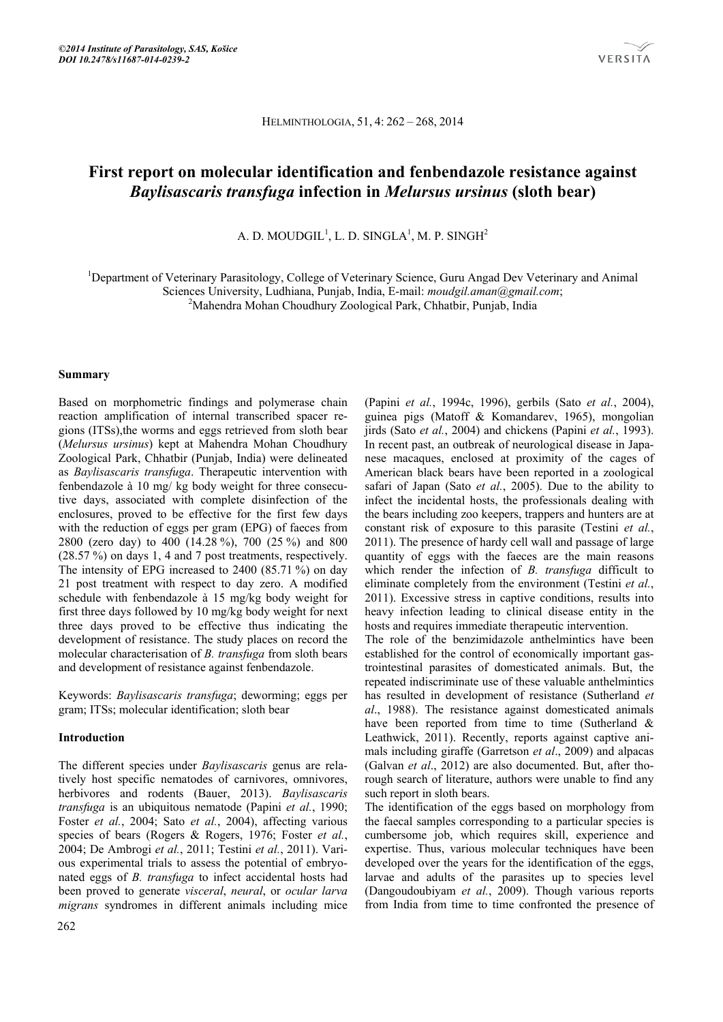HELMINTHOLOGIA, 51, 4: 262 – 268, 2014

# **First report on molecular identification and fenbendazole resistance against**  *Baylisascaris transfuga* **infection in** *Melursus ursinus* **(sloth bear)**

A. D. MOUDGIL<sup>1</sup>, L. D. SINGLA<sup>1</sup>, M. P. SINGH $^2$ 

<sup>1</sup>Department of Veterinary Parasitology, College of Veterinary Science, Guru Angad Dev Veterinary and Animal Sciences University, Ludhiana, Punjab, India, E-mail: *moudgil.aman@gmail.com*; 2

<sup>2</sup>Mahendra Mohan Choudhury Zoological Park, Chhatbir, Punjab, India

## **Summary**

Based on morphometric findings and polymerase chain reaction amplification of internal transcribed spacer regions (ITSs),the worms and eggs retrieved from sloth bear (*Melursus ursinus*) kept at Mahendra Mohan Choudhury Zoological Park, Chhatbir (Punjab, India) were delineated as *Baylisascaris transfuga*. Therapeutic intervention with fenbendazole à 10 mg/ kg body weight for three consecutive days, associated with complete disinfection of the enclosures, proved to be effective for the first few days with the reduction of eggs per gram (EPG) of faeces from 2800 (zero day) to 400 (14.28 %), 700 (25 %) and 800 (28.57 %) on days 1, 4 and 7 post treatments, respectively. The intensity of EPG increased to 2400 (85.71 %) on day 21 post treatment with respect to day zero. A modified schedule with fenbendazole à 15 mg/kg body weight for first three days followed by 10 mg/kg body weight for next three days proved to be effective thus indicating the development of resistance. The study places on record the molecular characterisation of *B. transfuga* from sloth bears and development of resistance against fenbendazole.

Keywords: *Baylisascaris transfuga*; deworming; eggs per gram; ITSs; molecular identification; sloth bear

# **Introduction**

The different species under *Baylisascaris* genus are relatively host specific nematodes of carnivores, omnivores, herbivores and rodents (Bauer, 2013). *Baylisascaris transfuga* is an ubiquitous nematode (Papini *et al.*, 1990; Foster *et al.*, 2004; Sato *et al.*, 2004), affecting various species of bears (Rogers & Rogers, 1976; Foster *et al.*, 2004; De Ambrogi *et al.*, 2011; Testini *et al.*, 2011). Various experimental trials to assess the potential of embryonated eggs of *B. transfuga* to infect accidental hosts had been proved to generate *visceral*, *neural*, or *ocular larva migrans* syndromes in different animals including mice

(Papini *et al.*, 1994c, 1996), gerbils (Sato *et al.*, 2004), guinea pigs (Matoff & Komandarev, 1965), mongolian jirds (Sato *et al.*, 2004) and chickens (Papini *et al.*, 1993). In recent past, an outbreak of neurological disease in Japanese macaques, enclosed at proximity of the cages of American black bears have been reported in a zoological safari of Japan (Sato *et al.*, 2005). Due to the ability to infect the incidental hosts, the professionals dealing with the bears including zoo keepers, trappers and hunters are at constant risk of exposure to this parasite (Testini *et al.*, 2011). The presence of hardy cell wall and passage of large quantity of eggs with the faeces are the main reasons which render the infection of *B. transfuga* difficult to eliminate completely from the environment (Testini *et al.*, 2011). Excessive stress in captive conditions, results into heavy infection leading to clinical disease entity in the hosts and requires immediate therapeutic intervention.

The role of the benzimidazole anthelmintics have been established for the control of economically important gastrointestinal parasites of domesticated animals. But, the repeated indiscriminate use of these valuable anthelmintics has resulted in development of resistance (Sutherland *et al*., 1988). The resistance against domesticated animals have been reported from time to time (Sutherland & Leathwick, 2011). Recently, reports against captive animals including giraffe (Garretson *et al*., 2009) and alpacas (Galvan *et al*., 2012) are also documented. But, after thorough search of literature, authors were unable to find any such report in sloth bears.

The identification of the eggs based on morphology from the faecal samples corresponding to a particular species is cumbersome job, which requires skill, experience and expertise. Thus, various molecular techniques have been developed over the years for the identification of the eggs, larvae and adults of the parasites up to species level (Dangoudoubiyam *et al.*, 2009). Though various reports from India from time to time confronted the presence of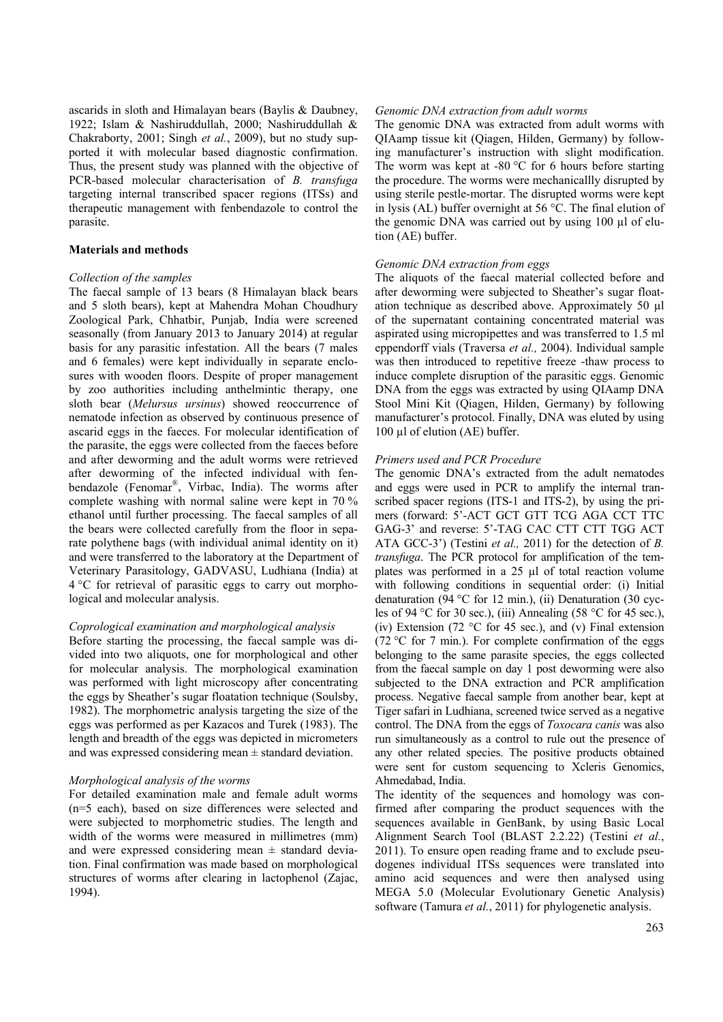ascarids in sloth and Himalayan bears (Baylis & Daubney, 1922; Islam & Nashiruddullah, 2000; Nashiruddullah & Chakraborty, 2001; Singh *et al.*, 2009), but no study supported it with molecular based diagnostic confirmation. Thus, the present study was planned with the objective of PCR-based molecular characterisation of *B. transfuga* targeting internal transcribed spacer regions (ITSs) and therapeutic management with fenbendazole to control the parasite.

#### **Materials and methods**

#### *Collection of the samples*

The faecal sample of 13 bears (8 Himalayan black bears and 5 sloth bears), kept at Mahendra Mohan Choudhury Zoological Park, Chhatbir, Punjab, India were screened seasonally (from January 2013 to January 2014) at regular basis for any parasitic infestation. All the bears (7 males and 6 females) were kept individually in separate enclosures with wooden floors. Despite of proper management by zoo authorities including anthelmintic therapy, one sloth bear (*Melursus ursinus*) showed reoccurrence of nematode infection as observed by continuous presence of ascarid eggs in the faeces. For molecular identification of the parasite, the eggs were collected from the faeces before and after deworming and the adult worms were retrieved after deworming of the infected individual with fenbendazole (Fenomar®, Virbac, India). The worms after complete washing with normal saline were kept in 70 % ethanol until further processing. The faecal samples of all the bears were collected carefully from the floor in separate polythene bags (with individual animal identity on it) and were transferred to the laboratory at the Department of Veterinary Parasitology, GADVASU, Ludhiana (India) at 4 °C for retrieval of parasitic eggs to carry out morphological and molecular analysis.

#### *Coprological examination and morphological analysis*

Before starting the processing, the faecal sample was divided into two aliquots, one for morphological and other for molecular analysis. The morphological examination was performed with light microscopy after concentrating the eggs by Sheather's sugar floatation technique (Soulsby, 1982). The morphometric analysis targeting the size of the eggs was performed as per Kazacos and Turek (1983). The length and breadth of the eggs was depicted in micrometers and was expressed considering mean  $\pm$  standard deviation.

#### *Morphological analysis of the worms*

For detailed examination male and female adult worms (n=5 each), based on size differences were selected and were subjected to morphometric studies. The length and width of the worms were measured in millimetres (mm) and were expressed considering mean  $\pm$  standard deviation. Final confirmation was made based on morphological structures of worms after clearing in lactophenol (Zajac, 1994).

#### *Genomic DNA extraction from adult worms*

The genomic DNA was extracted from adult worms with QIAamp tissue kit (Qiagen, Hilden, Germany) by following manufacturer's instruction with slight modification. The worm was kept at  $-80$  °C for 6 hours before starting the procedure. The worms were mechanicallly disrupted by using sterile pestle-mortar. The disrupted worms were kept in lysis (AL) buffer overnight at 56 °C. The final elution of the genomic DNA was carried out by using 100 µl of elution (AE) buffer.

#### *Genomic DNA extraction from eggs*

The aliquots of the faecal material collected before and after deworming were subjected to Sheather's sugar floatation technique as described above. Approximately 50 µl of the supernatant containing concentrated material was aspirated using micropipettes and was transferred to 1.5 ml eppendorff vials (Traversa *et al.,* 2004). Individual sample was then introduced to repetitive freeze -thaw process to induce complete disruption of the parasitic eggs. Genomic DNA from the eggs was extracted by using QIAamp DNA Stool Mini Kit (Qiagen, Hilden, Germany) by following manufacturer's protocol. Finally, DNA was eluted by using 100 µl of elution (AE) buffer.

#### *Primers used and PCR Procedure*

The genomic DNA's extracted from the adult nematodes and eggs were used in PCR to amplify the internal transcribed spacer regions (ITS-1 and ITS-2), by using the primers (forward: 5'-ACT GCT GTT TCG AGA CCT TTC GAG-3' and reverse: 5'-TAG CAC CTT CTT TGG ACT ATA GCC-3') (Testini *et al.,* 2011) for the detection of *B. transfuga*. The PCR protocol for amplification of the templates was performed in a 25 µl of total reaction volume with following conditions in sequential order: (i) Initial denaturation (94 °C for 12 min.), (ii) Denaturation (30 cycles of 94 °C for 30 sec.), (iii) Annealing (58 °C for 45 sec.), (iv) Extension (72 °C for 45 sec.), and (v) Final extension (72 °C for 7 min.). For complete confirmation of the eggs belonging to the same parasite species, the eggs collected from the faecal sample on day 1 post deworming were also subjected to the DNA extraction and PCR amplification process. Negative faecal sample from another bear, kept at Tiger safari in Ludhiana, screened twice served as a negative control. The DNA from the eggs of *Toxocara canis* was also run simultaneously as a control to rule out the presence of any other related species. The positive products obtained were sent for custom sequencing to Xcleris Genomics, Ahmedabad, India.

The identity of the sequences and homology was confirmed after comparing the product sequences with the sequences available in GenBank, by using Basic Local Alignment Search Tool (BLAST 2.2.22) (Testini *et al.*, 2011). To ensure open reading frame and to exclude pseudogenes individual ITSs sequences were translated into amino acid sequences and were then analysed using MEGA 5.0 (Molecular Evolutionary Genetic Analysis) software (Tamura *et al.*, 2011) for phylogenetic analysis.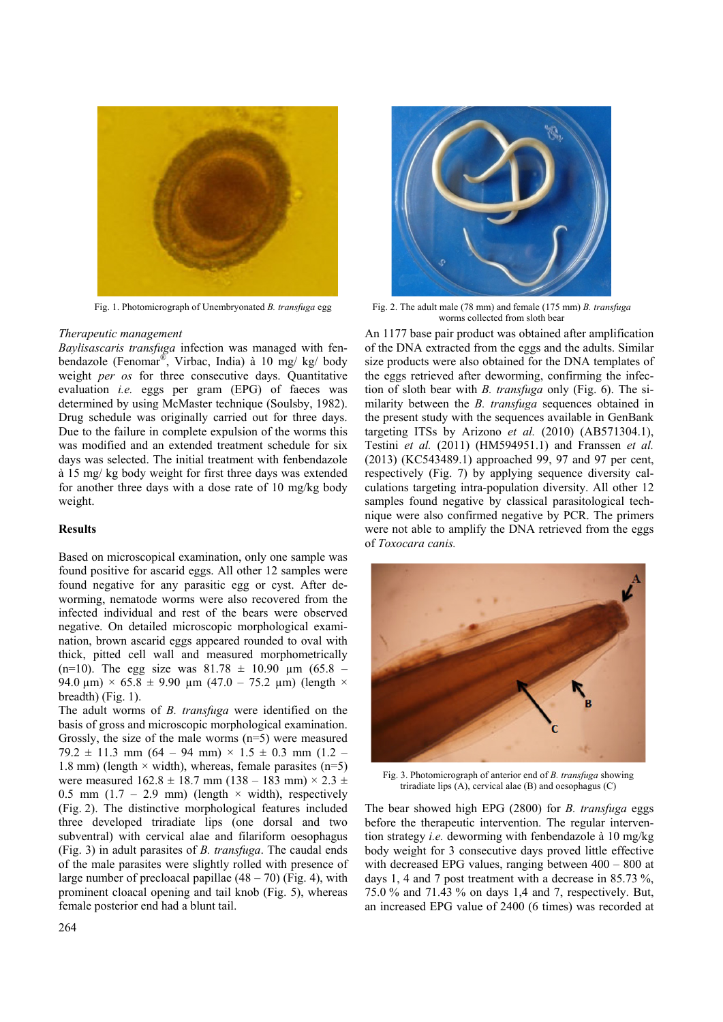

#### *Therapeutic management*

*Baylisascaris transfuga* infection was managed with fenbendazole (Fenomar®, Virbac, India) à 10 mg/ kg/ body weight *per os* for three consecutive days. Quantitative evaluation *i.e.* eggs per gram (EPG) of faeces was determined by using McMaster technique (Soulsby, 1982). Drug schedule was originally carried out for three days. Due to the failure in complete expulsion of the worms this was modified and an extended treatment schedule for six days was selected. The initial treatment with fenbendazole à 15 mg/ kg body weight for first three days was extended for another three days with a dose rate of 10 mg/kg body weight.

## **Results**

Based on microscopical examination, only one sample was found positive for ascarid eggs. All other 12 samples were found negative for any parasitic egg or cyst. After deworming, nematode worms were also recovered from the infected individual and rest of the bears were observed negative. On detailed microscopic morphological examination, brown ascarid eggs appeared rounded to oval with thick, pitted cell wall and measured morphometrically (n=10). The egg size was  $81.78 \pm 10.90$  µm (65.8 – 94.0  $\mu$ m) × 65.8 ± 9.90  $\mu$ m (47.0 – 75.2  $\mu$ m) (length × breadth) (Fig. 1).

The adult worms of *B. transfuga* were identified on the basis of gross and microscopic morphological examination. Grossly, the size of the male worms (n=5) were measured  $79.2 \pm 11.3$  mm  $(64 - 94$  mm)  $\times$   $1.5 \pm 0.3$  mm  $(1.2 -$ 1.8 mm) (length  $\times$  width), whereas, female parasites (n=5) were measured  $162.8 \pm 18.7$  mm  $(138 - 183$  mm)  $\times 2.3 \pm 18.7$ 0.5 mm (1.7 – 2.9 mm) (length  $\times$  width), respectively (Fig. 2). The distinctive morphological features included three developed triradiate lips (one dorsal and two subventral) with cervical alae and filariform oesophagus (Fig. 3) in adult parasites of *B. transfuga*. The caudal ends of the male parasites were slightly rolled with presence of large number of precloacal papillae  $(48 – 70)$  (Fig. 4), with prominent cloacal opening and tail knob (Fig. 5), whereas female posterior end had a blunt tail.



Fig. 1. Photomicrograph of Unembryonated *B. transfuga* egg Fig. 2. The adult male (78 mm) and female (175 mm) *B. transfuga* worms collected from sloth bear

An 1177 base pair product was obtained after amplification of the DNA extracted from the eggs and the adults. Similar size products were also obtained for the DNA templates of the eggs retrieved after deworming, confirming the infection of sloth bear with *B. transfuga* only (Fig. 6). The similarity between the *B. transfuga* sequences obtained in the present study with the sequences available in GenBank targeting ITSs by Arizono *et al.* (2010) (AB571304.1), Testini *et al.* (2011) (HM594951.1) and Franssen *et al.* (2013) (KC543489.1) approached 99, 97 and 97 per cent, respectively (Fig. 7) by applying sequence diversity calculations targeting intra-population diversity. All other 12 samples found negative by classical parasitological technique were also confirmed negative by PCR. The primers were not able to amplify the DNA retrieved from the eggs of *Toxocara canis.*



Fig. 3. Photomicrograph of anterior end of *B. transfuga* showing triradiate lips (A), cervical alae (B) and oesophagus (C)

The bear showed high EPG (2800) for *B. transfuga* eggs before the therapeutic intervention. The regular intervention strategy *i.e.* deworming with fenbendazole à 10 mg/kg body weight for 3 consecutive days proved little effective with decreased EPG values, ranging between 400 – 800 at days 1, 4 and 7 post treatment with a decrease in 85.73 %, 75.0 % and 71.43 % on days 1,4 and 7, respectively. But, an increased EPG value of 2400 (6 times) was recorded at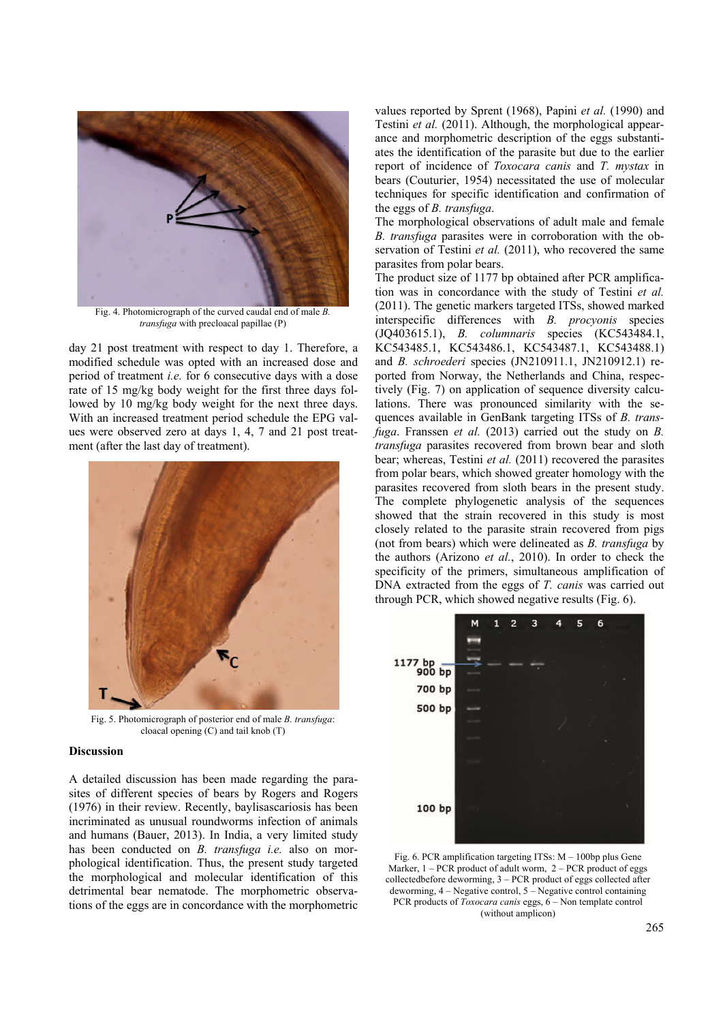

Fig. 4. Photomicrograph of the curved caudal end of male *B. transfuga* with precloacal papillae (P)

day 21 post treatment with respect to day 1. Therefore, a modified schedule was opted with an increased dose and period of treatment *i.e.* for 6 consecutive days with a dose rate of 15 mg/kg body weight for the first three days followed by 10 mg/kg body weight for the next three days. With an increased treatment period schedule the EPG values were observed zero at days 1, 4, 7 and 21 post treatment (after the last day of treatment).



Fig. 5. Photomicrograph of posterior end of male *B. transfuga*: cloacal opening (C) and tail knob (T)

#### **Discussion**

A detailed discussion has been made regarding the parasites of different species of bears by Rogers and Rogers (1976) in their review. Recently, baylisascariosis has been incriminated as unusual roundworms infection of animals and humans (Bauer, 2013). In India, a very limited study has been conducted on *B. transfuga i.e.* also on morphological identification. Thus, the present study targeted the morphological and molecular identification of this detrimental bear nematode. The morphometric observations of the eggs are in concordance with the morphometric

values reported by Sprent (1968), Papini *et al.* (1990) and Testini *et al.* (2011). Although, the morphological appearance and morphometric description of the eggs substantiates the identification of the parasite but due to the earlier report of incidence of *Toxocara canis* and *T. mystax* in bears (Couturier, 1954) necessitated the use of molecular techniques for specific identification and confirmation of the eggs of *B. transfuga*.

The morphological observations of adult male and female *B. transfuga* parasites were in corroboration with the observation of Testini *et al.* (2011), who recovered the same parasites from polar bears.

The product size of 1177 bp obtained after PCR amplification was in concordance with the study of Testini *et al.* (2011). The genetic markers targeted ITSs, showed marked interspecific differences with *B. procyonis* species (JQ403615.1), *B. columnaris* species (KC543484.1, KC543485.1, KC543486.1, KC543487.1, KC543488.1) and *B. schroederi* species (JN210911.1, JN210912.1) reported from Norway, the Netherlands and China, respectively (Fig. 7) on application of sequence diversity calculations. There was pronounced similarity with the sequences available in GenBank targeting ITSs of *B. transfuga*. Franssen *et al.* (2013) carried out the study on *B. transfuga* parasites recovered from brown bear and sloth bear; whereas, Testini *et al.* (2011) recovered the parasites from polar bears, which showed greater homology with the parasites recovered from sloth bears in the present study. The complete phylogenetic analysis of the sequences showed that the strain recovered in this study is most closely related to the parasite strain recovered from pigs (not from bears) which were delineated as *B. transfuga* by the authors (Arizono *et al.*, 2010). In order to check the specificity of the primers, simultaneous amplification of DNA extracted from the eggs of *T. canis* was carried out through PCR, which showed negative results (Fig. 6).



Fig. 6. PCR amplification targeting ITSs: M – 100bp plus Gene Marker,  $1 - PCR$  product of adult worm,  $2 - PCR$  product of eggs collectedbefore deworming, 3 – PCR product of eggs collected after deworming, 4 – Negative control, 5 – Negative control containing PCR products of *Toxocara canis* eggs, 6 – Non template control (without amplicon)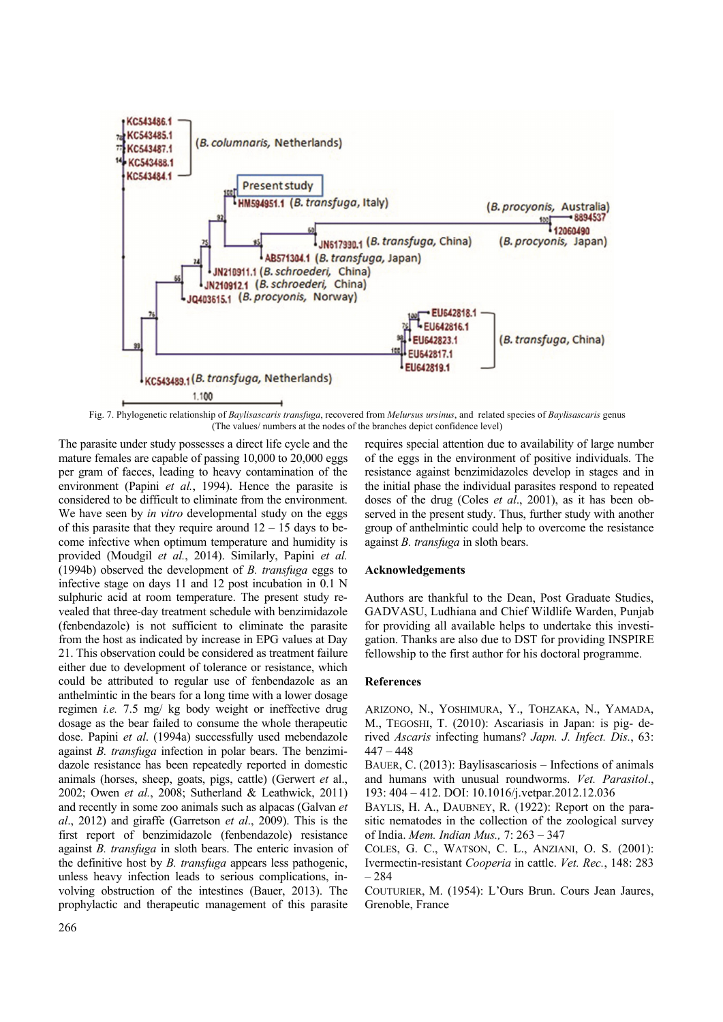

Fig. 7. Phylogenetic relationship of *Baylisascaris transfuga*, recovered from *Melursus ursinus*, and related species of *Baylisascaris* genus (The values/ numbers at the nodes of the branches depict confidence level)

The parasite under study possesses a direct life cycle and the mature females are capable of passing 10,000 to 20,000 eggs per gram of faeces, leading to heavy contamination of the environment (Papini *et al.*, 1994). Hence the parasite is considered to be difficult to eliminate from the environment. We have seen by *in vitro* developmental study on the eggs of this parasite that they require around  $12 - 15$  days to become infective when optimum temperature and humidity is provided (Moudgil *et al.*, 2014). Similarly, Papini *et al.*  (1994b) observed the development of *B. transfuga* eggs to infective stage on days 11 and 12 post incubation in 0.1 N sulphuric acid at room temperature. The present study revealed that three-day treatment schedule with benzimidazole (fenbendazole) is not sufficient to eliminate the parasite from the host as indicated by increase in EPG values at Day 21. This observation could be considered as treatment failure either due to development of tolerance or resistance, which could be attributed to regular use of fenbendazole as an anthelmintic in the bears for a long time with a lower dosage regimen *i.e.* 7.5 mg/ kg body weight or ineffective drug dosage as the bear failed to consume the whole therapeutic dose. Papini *et al*. (1994a) successfully used mebendazole against *B. transfuga* infection in polar bears. The benzimidazole resistance has been repeatedly reported in domestic animals (horses, sheep, goats, pigs, cattle) (Gerwert *et* al., 2002; Owen *et al.*, 2008; Sutherland & Leathwick, 2011) and recently in some zoo animals such as alpacas (Galvan *et al*., 2012) and giraffe (Garretson *et al*., 2009). This is the first report of benzimidazole (fenbendazole) resistance against *B. transfuga* in sloth bears. The enteric invasion of the definitive host by *B. transfuga* appears less pathogenic, unless heavy infection leads to serious complications, involving obstruction of the intestines (Bauer, 2013). The prophylactic and therapeutic management of this parasite

requires special attention due to availability of large number of the eggs in the environment of positive individuals. The resistance against benzimidazoles develop in stages and in the initial phase the individual parasites respond to repeated doses of the drug (Coles *et al*., 2001), as it has been observed in the present study. Thus, further study with another group of anthelmintic could help to overcome the resistance against *B. transfuga* in sloth bears.

## **Acknowledgements**

Authors are thankful to the Dean, Post Graduate Studies, GADVASU, Ludhiana and Chief Wildlife Warden, Punjab for providing all available helps to undertake this investigation. Thanks are also due to DST for providing INSPIRE fellowship to the first author for his doctoral programme.

## **References**

ARIZONO, N., YOSHIMURA, Y., TOHZAKA, N., YAMADA, M., TEGOSHI, T. (2010): Ascariasis in Japan: is pig- derived *Ascaris* infecting humans? *Japn. J. Infect. Dis.*, 63: 447 – 448

BAUER, C. (2013): Baylisascariosis – Infections of animals and humans with unusual roundworms. *Vet. Parasitol*., 193: 404 – 412. DOI: 10.1016/j.vetpar.2012.12.036

BAYLIS, H. A., DAUBNEY, R. (1922): Report on the parasitic nematodes in the collection of the zoological survey of India. *Mem. Indian Mus.,* 7: 263 – 347

COLES, G. C., WATSON, C. L., ANZIANI, O. S. (2001): Ivermectin-resistant *Cooperia* in cattle. *Vet. Rec.*, 148: 283 – 284

COUTURIER, M. (1954): L'Ours Brun. Cours Jean Jaures, Grenoble, France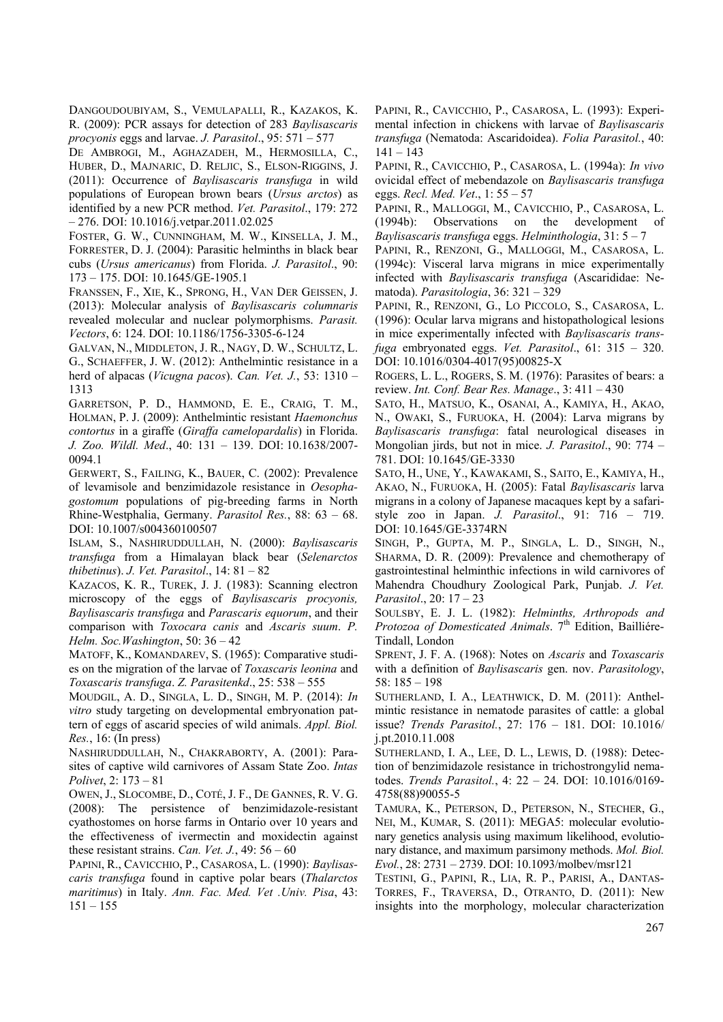DANGOUDOUBIYAM, S., VEMULAPALLI, R., KAZAKOS, K. R. (2009): PCR assays for detection of 283 *Baylisascaris procyonis* eggs and larvae. *J. Parasitol*., 95: 571 – 577

DE AMBROGI, M., AGHAZADEH, M., HERMOSILLA, C., HUBER, D., MAJNARIC, D. RELJIC, S., ELSON-RIGGINS, J. (2011): Occurrence of *Baylisascaris transfuga* in wild populations of European brown bears (*Ursus arctos*) as identified by a new PCR method. *Vet. Parasitol*., 179: 272 – 276. DOI: 10.1016/j.vetpar.2011.02.025

FOSTER, G. W., CUNNINGHAM, M. W., KINSELLA, J. M., FORRESTER, D. J. (2004): Parasitic helminths in black bear cubs (*Ursus americanus*) from Florida. *J. Parasitol*., 90: 173 – 175. DOI: 10.1645/GE-1905.1

FRANSSEN, F., XIE, K., SPRONG, H., VAN DER GEISSEN, J. (2013): Molecular analysis of *Baylisascaris columnaris*  revealed molecular and nuclear polymorphisms. *Parasit. Vectors*, 6: 124. DOI: 10.1186/1756-3305-6-124

GALVAN, N., MIDDLETON, J. R., NAGY, D. W., SCHULTZ, L. G., SCHAEFFER, J. W. (2012): Anthelmintic resistance in a herd of alpacas (*Vicugna pacos*). *Can. Vet. J.*, 53: 1310 – 1313

GARRETSON, P. D., HAMMOND, E. E., CRAIG, T. M., HOLMAN, P. J. (2009): Anthelmintic resistant *Haemonchus contortus* in a giraffe (*Giraffa camelopardalis*) in Florida. *J. Zoo. Wildl. Med*., 40: 131 – 139. DOI: 10.1638/2007- 0094.1

GERWERT, S., FAILING, K., BAUER, C. (2002): Prevalence of levamisole and benzimidazole resistance in *Oesophagostomum* populations of pig-breeding farms in North Rhine-Westphalia, Germany. *Parasitol Res.*, 88: 63 – 68. DOI: 10.1007/s004360100507

ISLAM, S., NASHIRUDDULLAH, N. (2000): *Baylisascaris transfuga* from a Himalayan black bear (*Selenarctos thibetinus*). *J. Vet. Parasitol*., 14: 81 – 82

KAZACOS, K. R., TUREK, J. J. (1983): Scanning electron microscopy of the eggs of *Baylisascaris procyonis, Baylisascaris transfuga* and *Parascaris equorum*, and their comparison with *Toxocara canis* and *Ascaris suum*. *P. Helm. Soc.Washington*, 50: 36 – 42

MATOFF, K., KOMANDAREV, S. (1965): Comparative studies on the migration of the larvae of *Toxascaris leonina* and *Toxascaris transfuga*. *Z. Parasitenkd*., 25: 538 – 555

MOUDGIL, A. D., SINGLA, L. D., SINGH, M. P. (2014): *In vitro* study targeting on developmental embryonation pattern of eggs of ascarid species of wild animals. *Appl. Biol. Res.*, 16: (In press)

NASHIRUDDULLAH, N., CHAKRABORTY, A. (2001): Parasites of captive wild carnivores of Assam State Zoo. *Intas Polivet*, 2: 173 – 81

OWEN, J., SLOCOMBE, D., COTÉ, J. F., DE GANNES, R. V. G. (2008): The persistence of benzimidazole-resistant cyathostomes on horse farms in Ontario over 10 years and the effectiveness of ivermectin and moxidectin against these resistant strains. *Can. Vet. J.*,  $49:56-60$ 

PAPINI, R., CAVICCHIO, P., CASAROSA, L. (1990): *Baylisascaris transfuga* found in captive polar bears (*Thalarctos maritimus*) in Italy. *Ann. Fac. Med. Vet .Univ. Pisa*, 43:  $151 - 155$ 

PAPINI, R., CAVICCHIO, P., CASAROSA, L. (1993): Experimental infection in chickens with larvae of *Baylisascaris transfuga* (Nematoda: Ascaridoidea). *Folia Parasitol.*, 40: 141 – 143

PAPINI, R., CAVICCHIO, P., CASAROSA, L. (1994a): *In vivo* ovicidal effect of mebendazole on *Baylisascaris transfuga*  eggs. *Recl. Med. Vet*., 1: 55 – 57

PAPINI, R., MALLOGGI, M., CAVICCHIO, P., CASAROSA, L. (1994b): Observations on the development of *Baylisascaris transfuga* eggs. *Helminthologia*, 31: 5 – 7

PAPINI, R., RENZONI, G., MALLOGGI, M., CASAROSA, L. (1994c): Visceral larva migrans in mice experimentally infected with *Baylisascaris transfuga* (Ascarididae: Nematoda). *Parasitologia*, 36: 321 – 329

PAPINI, R., RENZONI, G., LO PICCOLO, S., CASAROSA, L. (1996): Ocular larva migrans and histopathological lesions in mice experimentally infected with *Baylisascaris transfuga* embryonated eggs. *Vet. Parasitol*., 61: 315 – 320. DOI: 10.1016/0304-4017(95)00825-X

ROGERS, L. L., ROGERS, S. M. (1976): Parasites of bears: a review. *Int. Conf. Bear Res. Manage*., 3: 411 – 430

SATO, H., MATSUO, K., OSANAI, A., KAMIYA, H., AKAO, N., OWAKI, S., FURUOKA, H. (2004): Larva migrans by *Baylisascaris transfuga*: fatal neurological diseases in Mongolian jirds, but not in mice. *J. Parasitol*., 90: 774 – 781. DOI: 10.1645/GE-3330

SATO, H., UNE, Y., KAWAKAMI, S., SAITO, E., KAMIYA, H., AKAO, N., FURUOKA, H. (2005): Fatal *Baylisascaris* larva migrans in a colony of Japanese macaques kept by a safaristyle zoo in Japan. *J. Parasitol*., 91: 716 – 719. DOI: 10.1645/GE-3374RN

SINGH, P., GUPTA, M. P., SINGLA, L. D., SINGH, N., SHARMA, D. R. (2009): Prevalence and chemotherapy of gastrointestinal helminthic infections in wild carnivores of Mahendra Choudhury Zoological Park, Punjab. *J. Vet. Parasitol*., 20: 17 – 23

SOULSBY, E. J. L. (1982): *Helminths, Arthropods and*  Protozoa of Domesticated Animals. 7<sup>th</sup> Edition, Bailliére-Tindall, London

SPRENT, J. F. A. (1968): Notes on *Ascaris* and *Toxascaris* with a definition of *Baylisascaris* gen. nov. *Parasitology*, 58: 185 – 198

SUTHERLAND, I. A., LEATHWICK, D. M. (2011): Anthelmintic resistance in nematode parasites of cattle: a global issue? *Trends Parasitol.*, 27: 176 – 181. DOI: 10.1016/ j.pt.2010.11.008

SUTHERLAND, I. A., LEE, D. L., LEWIS, D. (1988): Detection of benzimidazole resistance in trichostrongylid nematodes. *Trends Parasitol.*, 4: 22 – 24. DOI: 10.1016/0169- 4758(88)90055-5

TAMURA, K., PETERSON, D., PETERSON, N., STECHER, G., NEI, M., KUMAR, S. (2011): MEGA5: molecular evolutionary genetics analysis using maximum likelihood, evolutionary distance, and maximum parsimony methods. *Mol. Biol. Evol.*, 28: 2731 – 2739. DOI: 10.1093/molbev/msr121

TESTINI, G., PAPINI, R., LIA, R. P., PARISI, A., DANTAS-TORRES, F., TRAVERSA, D., OTRANTO, D. (2011): New insights into the morphology, molecular characterization